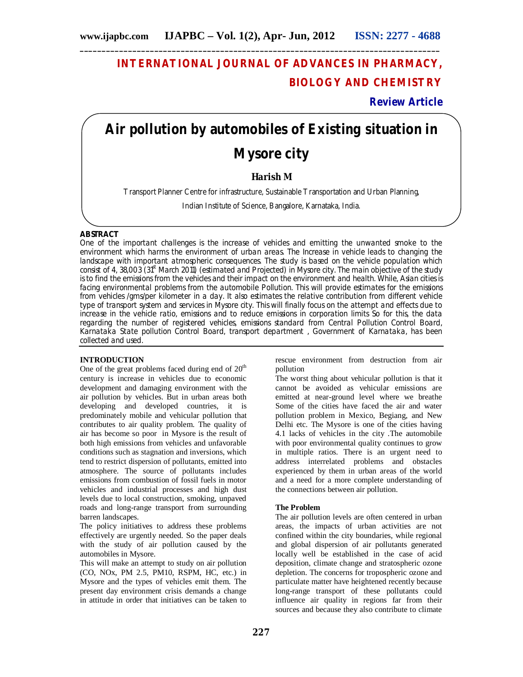### **INTERNATIONAL JOURNAL OF ADVANCES IN PHARMACY, BIOLOGY AND CHEMISTRY**

**Review Article**

# **Air pollution by automobiles of Existing situation in**

## **Mysore city**

#### **Harish M**

Transport Planner Centre for infrastructure, Sustainable Transportation and Urban Planning,

Indian Institute of Science, Bangalore, Karnataka, India.

#### **ABSTRACT**

One of the important challenges is the increase of vehicles and emitting the unwanted smoke to the environment which harms the environment of urban areas. The Increase in vehicle leads to changing the landscape with important atmospheric consequences. The study is based on the vehicle population which consist of 4, 38,003 (31<sup>st</sup> March 2011) (estimated and Projected) in Mysore city. The main objective of the study is to find the emissions from the vehicles and their impact on the environment and health. While, Asian cities is facing environmental problems from the automobile Pollution. This will provide estimates for the emissions from vehicles /gms/per kilometer in a day. It also estimates the relative contribution from different vehicle type of transport system and services in Mysore city. This will finally focus on the attempt and effects due to increase in the vehicle ratio, emissions and to reduce emissions in corporation limits So for this, the data regarding the number of registered vehicles, emissions standard from Central Pollution Control Board, Karnataka State pollution Control Board, transport department , Government of Karnataka, has been collected and used.

#### **INTRODUCTION**

One of the great problems faced during end of  $20<sup>th</sup>$ century is increase in vehicles due to economic development and damaging environment with the air pollution by vehicles. But in urban areas both developing and developed countries, it is predominately mobile and vehicular pollution that contributes to air quality problem. The quality of air has become so poor in Mysore is the result of both high emissions from vehicles and unfavorable conditions such as stagnation and inversions, which tend to restrict dispersion of pollutants, emitted into atmosphere. The source of pollutants includes emissions from combustion of fossil fuels in motor vehicles and industrial processes and high dust levels due to local construction, smoking, unpaved roads and long-range transport from surrounding barren landscapes.

The policy initiatives to address these problems effectively are urgently needed. So the paper deals with the study of air pollution caused by the automobiles in Mysore.

This will make an attempt to study on air pollution (CO, NOx, PM 2.5, PM10, RSPM, HC, etc.) in Mysore and the types of vehicles emit them. The present day environment crisis demands a change in attitude in order that initiatives can be taken to

rescue environment from destruction from air pollution

The worst thing about vehicular pollution is that it cannot be avoided as vehicular emissions are emitted at near-ground level where we breathe Some of the cities have faced the air and water pollution problem in Mexico, Begiang, and New Delhi etc. The Mysore is one of the cities having 4.1 lacks of vehicles in the city .The automobile with poor environmental quality continues to grow in multiple ratios. There is an urgent need to address interrelated problems and obstacles experienced by them in urban areas of the world and a need for a more complete understanding of the connections between air pollution.

#### **The Problem**

The air pollution levels are often centered in urban areas, the impacts of urban activities are not confined within the city boundaries, while regional and global dispersion of air pollutants generated locally well be established in the case of acid deposition, climate change and stratospheric ozone depletion. The concerns for tropospheric ozone and particulate matter have heightened recently because long-range transport of these pollutants could influence air quality in regions far from their sources and because they also contribute to climate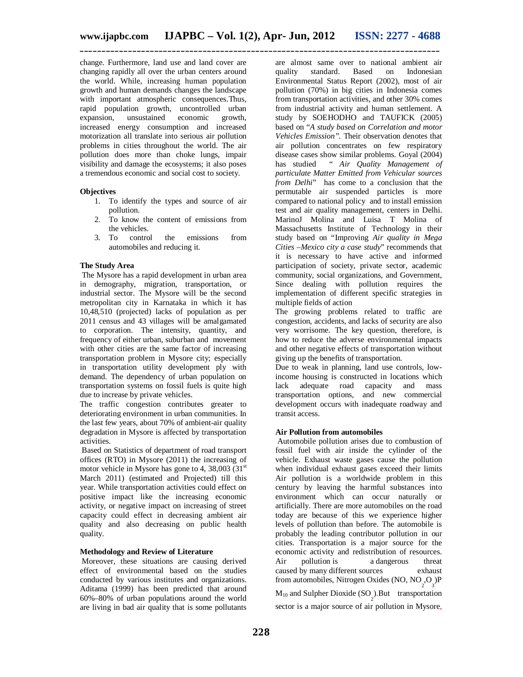change. Furthermore, land use and land cover are changing rapidly all over the urban centers around the world. While, increasing human population growth and human demands changes the landscape with important atmospheric consequences.Thus, rapid population growth, uncontrolled urban<br>expansion. unsustained economic growth. unsustained economic growth, increased energy consumption and increased motorization all translate into serious air pollution problems in cities throughout the world. The air pollution does more than choke lungs, impair visibility and damage the ecosystems; it also poses a tremendous economic and social cost to society.

#### **Objectives**

- 1. To identify the types and source of air pollution.
- 2. To know the content of emissions from the vehicles.
- 3. To control the emissions from automobiles and reducing it.

#### **The Study Area**

The Mysore has a rapid development in urban area in demography, migration, transportation, or industrial sector. The Mysore will be the second metropolitan city in Karnataka in which it has 10,48,510 (projected) lacks of population as per 2011 census and 43 villages will be amalgamated to corporation. The intensity, quantity, and frequency of either urban, suburban and movement with other cities are the same factor of increasing transportation problem in Mysore city; especially in transportation utility development ply with demand. The dependency of urban population on transportation systems on fossil fuels is quite high due to increase by private vehicles.

The traffic congestion contributes greater to deteriorating environment in urban communities. In the last few years, about 70% of ambient-air quality degradation in Mysore is affected by transportation activities.

Based on Statistics of department of road transport offices (RTO) in Mysore (2011) the increasing of motor vehicle in Mysore has gone to 4, 38,003 (31 $\mathrm{^{st}}$ ) March 2011) (estimated and Projected) till this year. While transportation activities could effect on positive impact like the increasing economic activity, or negative impact on increasing of street capacity could effect in decreasing ambient air quality and also decreasing on public health quality.

#### **Methodology and Review of Literature**

Moreover, these situations are causing derived effect of environmental based on the studies conducted by various institutes and organizations. Aditama (1999) has been predicted that around 60%–80% of urban populations around the world are living in bad air quality that is some pollutants

are almost same over to national ambient air quality standard. Based on Indonesian Environmental Status Report (2002), most of air pollution (70%) in big cities in Indonesia comes from transportation activities, and other 30% comes from industrial activity and human settlement. A study by SOEHODHO and TAUFICK (2005) based on "*A study based on Correlation and motor Vehicles Emission".* Their observation denotes that air pollution concentrates on few respiratory disease cases show similar problems. Goyal (2004)<br>has studied " Air Quality Management of has studied " *Air Quality Management of particulate Matter Emitted from Vehicular sources from Delhi*" has come to a conclusion that the permutable air suspended particles is more compared to national policy and to install emission test and air quality management, centers in Delhi. MarinoJ Molina and Luisa T Molina of Massachusetts Institute of Technology in their study based on "Improving *Air quality in Mega Cities –Mexico city a case study*" recommends that it is necessary to have active and informed participation of society, private sector, academic community, social organizations, and Government, Since dealing with pollution requires the implementation of different specific strategies in multiple fields of action

The growing problems related to traffic are congestion, accidents, and lacks of security are also very worrisome. The key question, therefore, is how to reduce the adverse environmental impacts and other negative effects of transportation without giving up the benefits of transportation.

Due to weak in planning, land use controls, lowincome housing is constructed in locations which lack adequate road capacity and mass transportation options, and new commercial development occurs with inadequate roadway and transit access.

#### **Air Pollution from automobiles**

Automobile pollution arises due to combustion of fossil fuel with air inside the cylinder of the vehicle. Exhaust waste gases cause the pollution when individual exhaust gases exceed their limits Air pollution is a worldwide problem in this century by leaving the harmful substances into environment which can occur naturally or artificially. There are more automobiles on the road today are because of this we experience higher levels of pollution than before. The automobile is probably the leading contributor pollution in our cities. Transportation is a major source for the economic activity and redistribution of resources. Air pollution is a dangerous threat caused by many different sources exhaust from automobiles, Nitrogen Oxides (NO,  $NO<sub>2</sub>, O<sub>3</sub>$ )P  $M_{10}$  and Sulpher Dioxide (SO<sub>2</sub>).But transportation sector is a major source of air pollution in Mysore,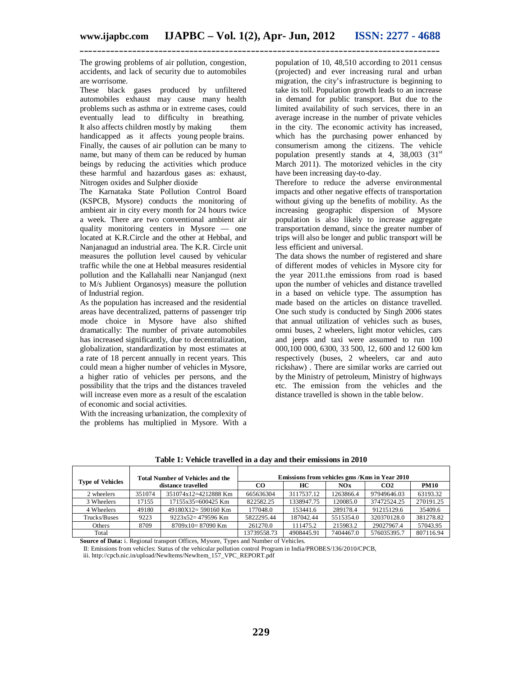The growing problems of air pollution, congestion, accidents, and lack of security due to automobiles are worrisome.

These black gases produced by unfiltered automobiles exhaust may cause many health problems such as asthma or in extreme cases, could eventually lead to difficulty in breathing. It also affects children mostly by making them handicapped as it affects young people brains. Finally, the causes of air pollution can be many to name, but many of them can be reduced by human beings by reducing the activities which produce these harmful and hazardous gases as: exhaust, Nitrogen oxides and Sulpher dioxide

The Karnataka State Pollution Control Board (KSPCB, Mysore) conducts the monitoring of ambient air in city every month for 24 hours twice a week. There are two conventional ambient air quality monitoring centers in Mysore — one located at K.R.Circle and the other at Hebbal, and Nanjanagud an industrial area. The K.R. Circle unit measures the pollution level caused by vehicular traffic while the one at Hebbal measures residential pollution and the Kallahalli near Nanjangud (next to M/s Jublient Organosys) measure the pollution of Industrial region.

As the population has increased and the residential areas have decentralized, patterns of passenger trip mode choice in Mysore have also shifted dramatically: The number of private automobiles has increased significantly, due to decentralization, globalization, standardization by most estimates at a rate of 18 percent annually in recent years. This could mean a higher number of vehicles in Mysore, a higher ratio of vehicles per persons, and the possibility that the trips and the distances traveled will increase even more as a result of the escalation of economic and social activities.

With the increasing urbanization, the complexity of the problems has multiplied in Mysore. With a

population of 10, 48,510 according to 2011 census (projected) and ever increasing rural and urban migration, the city's infrastructure is beginning to take its toll. Population growth leads to an increase in demand for public transport. But due to the limited availability of such services, there in an average increase in the number of private vehicles in the city. The economic activity has increased, which has the purchasing power enhanced by consumerism among the citizens. The vehicle population presently stands at 4,  $38,003$   $(31<sup>st</sup>)$ March 2011). The motorized vehicles in the city have been increasing day-to-day.

Therefore to reduce the adverse environmental impacts and other negative effects of transportation without giving up the benefits of mobility. As the increasing geographic dispersion of Mysore population is also likely to increase aggregate transportation demand, since the greater number of trips will also be longer and public transport will be less efficient and universal.

The data shows the number of registered and share of different modes of vehicles in Mysore city for the year 2011.the emissions from road is based upon the number of vehicles and distance travelled in a based on vehicle type. The assumption has made based on the articles on distance travelled. One such study is conducted by Singh 2006 states that annual utilization of vehicles such as buses, omni buses, 2 wheelers, light motor vehicles, cars and jeeps and taxi were assumed to run 100 000,100 000, 6300, 33 500, 12, 600 and 12 600 km respectively (buses, 2 wheelers, car and auto rickshaw) . There are similar works are carried out by the Ministry of petroleum, Ministry of highways etc. The emission from the vehicles and the distance travelled is shown in the table below.

| <b>Type of Vehicles</b> | <b>Total Number of Vehicles and the</b><br>distance travelled |                      | Emissions from vehicles gms / Kms in Year 2010 |            |           |                 |             |
|-------------------------|---------------------------------------------------------------|----------------------|------------------------------------------------|------------|-----------|-----------------|-------------|
|                         |                                                               |                      | CO                                             | HС         | NOx       | CO <sub>2</sub> | <b>PM10</b> |
| 2 wheelers              | 351074                                                        | 351074x12=4212888 Km | 665636304                                      | 3117537.12 | 1263866.4 | 97949646.03     | 63193.32    |
| 3 Wheelers              | 17155                                                         | $17155x35=600425$ Km | 822582.25                                      | 1338947.75 | 120085.0  | 37472524.25     | 270191.25   |
| 4 Wheelers              | 49180                                                         | $49180X12=590160$ Km | 177048.0                                       | 153441.6   | 289178.4  | 91215129.6      | 35409.6     |
| Trucks/Buses            | 9223                                                          | $9223x52=479596$ Km  | 5822295.44                                     | 187042.44  | 5515354.0 | 320370128.0     | 381278.82   |
| Others                  | 8709                                                          | $8709x10=87090$ Km   | 261270.0                                       | 111475.2   | 215983.2  | 29027967.4      | 57043.95    |
| Total                   |                                                               |                      | 13739558.73                                    | 4908445.91 | 7404467.0 | 576035395.7     | 807116.94   |

**Table 1: Vehicle travelled in a day and their emissions in 2010**

**Source of Data:** i. Regional transport Offices, Mysore, Types and Number of Vehicles.

II: Emissions from vehicles: Status of the vehicular pollution control Program in India/PROBES/136/2010/CPCB,

iii. http://cpcb.nic.in/upload/NewItems/NewItem\_157\_VPC\_REPORT.pdf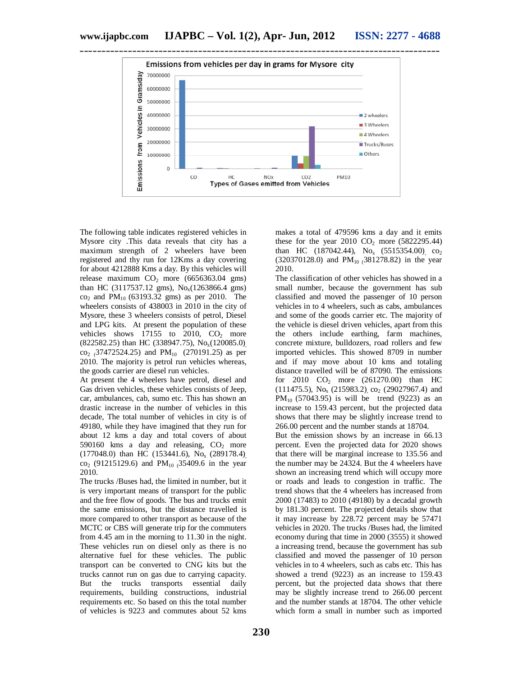

The following table indicates registered vehicles in Mysore city .This data reveals that city has a maximum strength of 2 wheelers have been registered and thy run for 12Kms a day covering for about 4212888 Kms a day. By this vehicles will release maximum  $CO<sub>2</sub>$  more (6656363.04 gms) than HC (3117537.12 gms),  $No_x(1263866.4 \text{ gms})$  $\text{co}_2$  and  $\text{PM}_{10}$  (63193.32 gms) as per 2010. The wheelers consists of 438003 in 2010 in the city of Mysore, these 3 wheelers consists of petrol, Diesel and LPG kits. At present the population of these vehicles shows  $17155$  to  $2010$ ,  $CO<sub>2</sub>$  more  $(822582.25)$  than HC (338947.75), No<sub>x</sub>(120085.0)  $\text{co}_{2}$  (37472524.25) and PM<sub>10</sub> (270191.25) as per 2010. The majority is petrol run vehicles whereas, the goods carrier are diesel run vehicles.

At present the 4 wheelers have petrol, diesel and Gas driven vehicles, these vehicles consists of Jeep, car, ambulances, cab, sumo etc. This has shown an drastic increase in the number of vehicles in this decade, The total number of vehicles in city is of 49180, while they have imagined that they run for about 12 kms a day and total covers of about 590160 kms a day and releasing,  $CO<sub>2</sub>$  more (177048.0) than HC (153441.6), Nox (289178.4),  $\text{co}_2$  (91215129.6) and PM<sub>10</sub> (35409.6 in the year 2010.

The trucks /Buses had, the limited in number, but it is very important means of transport for the public and the free flow of goods. The bus and trucks emit the same emissions, but the distance travelled is more compared to other transport as because of the MCTC or CBS will generate trip for the commuters from 4.45 am in the morning to 11.30 in the night. These vehicles run on diesel only as there is no alternative fuel for these vehicles. The public transport can be converted to CNG kits but the trucks cannot run on gas due to carrying capacity. But the trucks transports essential daily requirements, building constructions, industrial requirements etc. So based on this the total number of vehicles is 9223 and commutes about 52 kms

makes a total of 479596 kms a day and it emits these for the year 2010  $CO<sub>2</sub>$  more (5822295.44) than HC (187042.44),  $No_x$  (5515354.00) co<sub>2</sub>  $(320370128.0)$  and PM<sub>10</sub> (381278.82) in the year 2010.

The classification of other vehicles has showed in a small number, because the government has sub classified and moved the passenger of 10 person vehicles in to 4 wheelers, such as cabs, ambulances and some of the goods carrier etc. The majority of the vehicle is diesel driven vehicles, apart from this the others include earthing, farm machines, concrete mixture, bulldozers, road rollers and few imported vehicles. This showed 8709 in number and if may move about 10 kms and totaling distance travelled will be of 87090. The emissions for 2010 CO<sub>2</sub> more (261270.00) than HC (111475.5),  $No_x$  (215983.2),  $co_2$  (29027967.4) and PM<sub>10</sub> (57043.95) is will be trend (9223) as an increase to 159.43 percent, but the projected data shows that there may be slightly increase trend to 266.00 percent and the number stands at 18704.

But the emission shows by an increase in 66.13 percent. Even the projected data for 2020 shows that there will be marginal increase to 135.56 and the number may be 24324. But the 4 wheelers have shown an increasing trend which will occupy more or roads and leads to congestion in traffic. The trend shows that the 4 wheelers has increased from 2000 (17483) to 2010 (49180) by a decadal growth by 181.30 percent. The projected details show that it may increase by 228.72 percent may be 57471 vehicles in 2020. The trucks /Buses had, the limited economy during that time in 2000 (3555) it showed a increasing trend, because the government has sub classified and moved the passenger of 10 person vehicles in to 4 wheelers, such as cabs etc. This has showed a trend (9223) as an increase to 159.43 percent, but the projected data shows that there may be slightly increase trend to 266.00 percent and the number stands at 18704. The other vehicle which form a small in number such as imported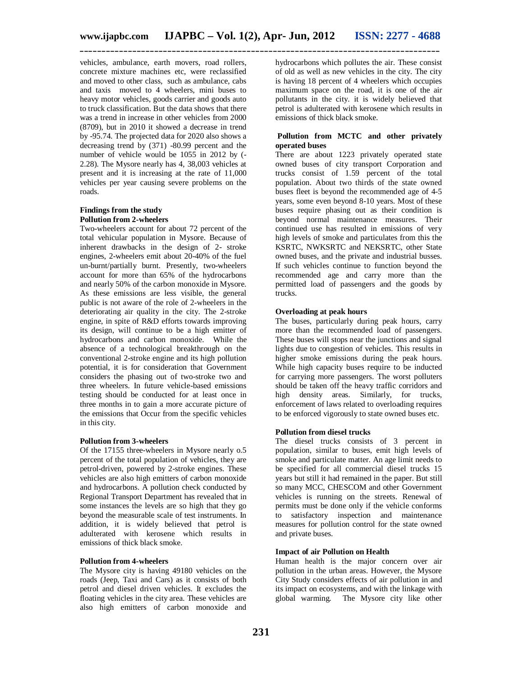vehicles, ambulance, earth movers, road rollers, concrete mixture machines etc, were reclassified and moved to other class, such as ambulance, cabs and taxis moved to 4 wheelers, mini buses to heavy motor vehicles, goods carrier and goods auto to truck classification. But the data shows that there was a trend in increase in other vehicles from 2000 (8709), but in 2010 it showed a decrease in trend by -95.74. The projected data for 2020 also shows a decreasing trend by (371) -80.99 percent and the number of vehicle would be 1055 in 2012 by (- 2.28). The Mysore nearly has 4, 38,003 vehicles at present and it is increasing at the rate of 11,000 vehicles per year causing severe problems on the roads.

#### **Findings from the study Pollution from 2-wheelers**

Two-wheelers account for about 72 percent of the total vehicular population in Mysore. Because of inherent drawbacks in the design of 2- stroke engines, 2-wheelers emit about 20-40% of the fuel un-burnt/partially burnt. Presently, two-wheelers account for more than 65% of the hydrocarbons and nearly 50% of the carbon monoxide in Mysore. As these emissions are less visible, the general public is not aware of the role of 2-wheelers in the deteriorating air quality in the city. The 2-stroke engine, in spite of R&D efforts towards improving its design, will continue to be a high emitter of hydrocarbons and carbon monoxide. While the absence of a technological breakthrough on the conventional 2-stroke engine and its high pollution potential, it is for consideration that Government considers the phasing out of two-stroke two and three wheelers. In future vehicle-based emissions testing should be conducted for at least once in three months in to gain a more accurate picture of the emissions that Occur from the specific vehicles in this city.

#### **Pollution from 3-wheelers**

Of the 17155 three-wheelers in Mysore nearly o.5 percent of the total population of vehicles, they are petrol-driven, powered by 2-stroke engines. These vehicles are also high emitters of carbon monoxide and hydrocarbons. A pollution check conducted by Regional Transport Department has revealed that in some instances the levels are so high that they go beyond the measurable scale of test instruments. In addition, it is widely believed that petrol is adulterated with kerosene which results in emissions of thick black smoke.

#### **Pollution from 4-wheelers**

The Mysore city is having 49180 vehicles on the roads (Jeep, Taxi and Cars) as it consists of both petrol and diesel driven vehicles. It excludes the floating vehicles in the city area. These vehicles are also high emitters of carbon monoxide and hydrocarbons which pollutes the air. These consist of old as well as new vehicles in the city. The city is having 18 percent of 4 wheelers which occupies maximum space on the road, it is one of the air pollutants in the city. it is widely believed that petrol is adulterated with kerosene which results in emissions of thick black smoke.

#### **Pollution from MCTC and other privately operated buses**

There are about 1223 privately operated state owned buses of city transport Corporation and trucks consist of 1.59 percent of the total population. About two thirds of the state owned buses fleet is beyond the recommended age of 4-5 years, some even beyond 8-10 years. Most of these buses require phasing out as their condition is beyond normal maintenance measures. Their continued use has resulted in emissions of very high levels of smoke and particulates from this the KSRTC, NWKSRTC and NEKSRTC, other State owned buses, and the private and industrial busses. If such vehicles continue to function beyond the recommended age and carry more than the permitted load of passengers and the goods by trucks.

#### **Overloading at peak hours**

The buses, particularly during peak hours, carry more than the recommended load of passengers. These buses will stops near the junctions and signal lights due to congestion of vehicles. This results in higher smoke emissions during the peak hours. While high capacity buses require to be inducted for carrying more passengers. The worst polluters should be taken off the heavy traffic corridors and high density areas. Similarly, for trucks, enforcement of laws related to overloading requires to be enforced vigorously to state owned buses etc.

#### **Pollution from diesel trucks**

The diesel trucks consists of 3 percent in population, similar to buses, emit high levels of smoke and particulate matter. An age limit needs to be specified for all commercial diesel trucks 15 years but still it had remained in the paper. But still so many MCC, CHESCOM and other Government vehicles is running on the streets. Renewal of permits must be done only if the vehicle conforms to satisfactory inspection and maintenance measures for pollution control for the state owned and private buses.

#### **Impact of air Pollution on Health**

Human health is the major concern over air pollution in the urban areas. However, the Mysore City Study considers effects of air pollution in and its impact on ecosystems, and with the linkage with global warming. The Mysore city like other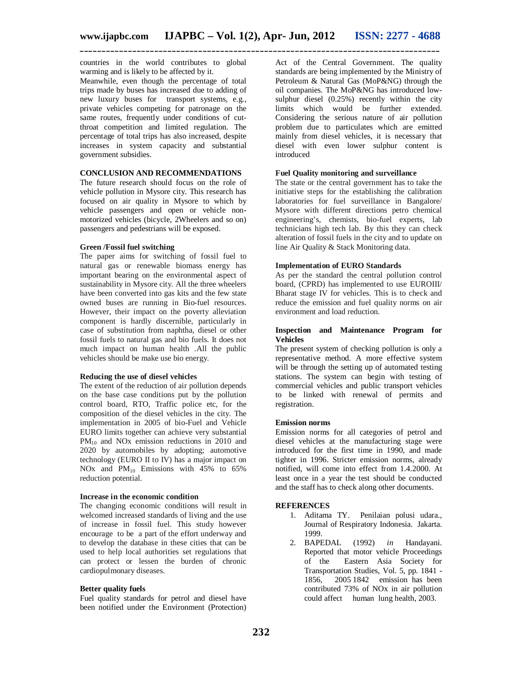countries in the world contributes to global warming and is likely to be affected by it.

Meanwhile, even though the percentage of total trips made by buses has increased due to adding of new luxury buses for transport systems, e.g., private vehicles competing for patronage on the same routes, frequently under conditions of cutthroat competition and limited regulation. The percentage of total trips has also increased, despite increases in system capacity and substantial government subsidies.

#### **CONCLUSION AND RECOMMENDATIONS**

The future research should focus on the role of vehicle pollution in Mysore city. This research has focused on air quality in Mysore to which by vehicle passengers and open or vehicle nonmotorized vehicles (bicycle, 2Wheelers and so on) passengers and pedestrians will be exposed.

#### **Green /Fossil fuel switching**

The paper aims for switching of fossil fuel to natural gas or renewable biomass energy has important bearing on the environmental aspect of sustainability in Mysore city. All the three wheelers have been converted into gas kits and the few state owned buses are running in Bio-fuel resources. However, their impact on the poverty alleviation component is hardly discernible, particularly in case of substitution from naphtha, diesel or other fossil fuels to natural gas and bio fuels. It does not much impact on human health .All the public vehicles should be make use bio energy.

#### **Reducing the use of diesel vehicles**

The extent of the reduction of air pollution depends on the base case conditions put by the pollution control board, RTO, Traffic police etc, for the composition of the diesel vehicles in the city. The implementation in 2005 of bio-Fuel and Vehicle EURO limits together can achieve very substantial  $PM_{10}$  and NOx emission reductions in 2010 and 2020 by automobiles by adopting; automotive technology (EURO II to IV) has a major impact on NOx and  $PM_{10}$  Emissions with 45% to 65% reduction potential.

#### **Increase in the economic condition**

The changing economic conditions will result in welcomed increased standards of living and the use of increase in fossil fuel. This study however encourage to be a part of the effort underway and to develop the database in these cities that can be used to help local authorities set regulations that can protect or lessen the burden of chronic cardiopulmonary diseases.

#### **Better quality fuels**

Fuel quality standards for petrol and diesel have been notified under the Environment (Protection)

Act of the Central Government. The quality standards are being implemented by the Ministry of Petroleum & Natural Gas (MoP&NG) through the oil companies. The MoP&NG has introduced lowsulphur diesel (0.25%) recently within the city limits which would be further extended. Considering the serious nature of air pollution problem due to particulates which are emitted mainly from diesel vehicles, it is necessary that diesel with even lower sulphur content is introduced

#### **Fuel Quality monitoring and surveillance**

The state or the central government has to take the initiative steps for the establishing the calibration laboratories for fuel surveillance in Bangalore/ Mysore with different directions petro chemical engineering's, chemists, bio-fuel experts, lab technicians high tech lab. By this they can check alteration of fossil fuels in the city and to update on line Air Quality & Stack Monitoring data.

#### **Implementation of EURO Standards**

As per the standard the central pollution control board, (CPRD) has implemented to use EUROIII/ Bharat stage IV for vehicles. This is to check and reduce the emission and fuel quality norms on air environment and load reduction.

#### **Inspection and Maintenance Program for Vehicles**

The present system of checking pollution is only a representative method. A more effective system will be through the setting up of automated testing stations. The system can begin with testing of commercial vehicles and public transport vehicles to be linked with renewal of permits and registration.

#### **Emission norms**

Emission norms for all categories of petrol and diesel vehicles at the manufacturing stage were introduced for the first time in 1990, and made tighter in 1996. Stricter emission norms, already notified, will come into effect from 1.4.2000. At least once in a year the test should be conducted and the staff has to check along other documents.

#### **REFERENCES**

- 1. Aditama TY. Penilaian polusi udara., Journal of Respiratory Indonesia. Jakarta. 1999.
- 2. BAPEDAL (1992) *in* Handayani. Reported that motor vehicle Proceedings of the Eastern Asia Society for Transportation Studies, Vol. 5, pp. 1841 - 1856, 2005 1842 emission has been contributed 73% of NOx in air pollution could affect human lung health, 2003.